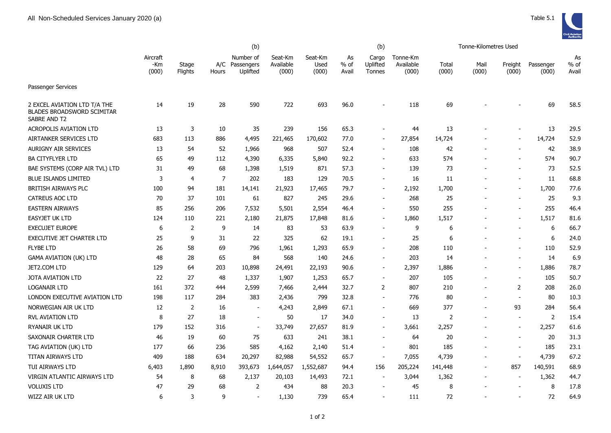

|                                                                                   |                          |                  | (b)            |                                     |                               |                          | Tonne-Kilometres Used |                             |                                |                |               |                          |                    |                       |
|-----------------------------------------------------------------------------------|--------------------------|------------------|----------------|-------------------------------------|-------------------------------|--------------------------|-----------------------|-----------------------------|--------------------------------|----------------|---------------|--------------------------|--------------------|-----------------------|
|                                                                                   | Aircraft<br>-Km<br>(000) | Stage<br>Flights | A/C<br>Hours   | Number of<br>Passengers<br>Uplifted | Seat-Km<br>Available<br>(000) | Seat-Km<br>Used<br>(000) | As<br>$%$ of<br>Avail | Cargo<br>Uplifted<br>Tonnes | Tonne-Km<br>Available<br>(000) | Total<br>(000) | Mail<br>(000) | Freight<br>(000)         | Passenger<br>(000) | As<br>$%$ of<br>Avail |
| Passenger Services                                                                |                          |                  |                |                                     |                               |                          |                       |                             |                                |                |               |                          |                    |                       |
| 2 EXCEL AVIATION LTD T/A THE<br><b>BLADES BROADSWORD SCIMITAR</b><br>SABRE AND T2 | 14                       | 19               | 28             | 590                                 | 722                           | 693                      | 96.0                  |                             | 118                            | 69             |               |                          | 69                 | 58.5                  |
| <b>ACROPOLIS AVIATION LTD</b>                                                     | 13                       | 3                | 10             | 35                                  | 239                           | 156                      | 65.3                  |                             | 44                             | 13             |               |                          | 13                 | 29.5                  |
| AIRTANKER SERVICES LTD                                                            | 683                      | 113              | 886            | 4,495                               | 221,465                       | 170,602                  | 77.0                  | $\blacksquare$              | 27,854                         | 14,724         |               |                          | 14,724             | 52.9                  |
| <b>AURIGNY AIR SERVICES</b>                                                       | 13                       | 54               | 52             | 1,966                               | 968                           | 507                      | 52.4                  | $\blacksquare$              | 108                            | 42             |               |                          | 42                 | 38.9                  |
| <b>BA CITYFLYER LTD</b>                                                           | 65                       | 49               | 112            | 4,390                               | 6,335                         | 5,840                    | 92.2                  |                             | 633                            | 574            |               |                          | 574                | 90.7                  |
| BAE SYSTEMS (CORP AIR TVL) LTD                                                    | 31                       | 49               | 68             | 1,398                               | 1,519                         | 871                      | 57.3                  | $\overline{\phantom{a}}$    | 139                            | 73             |               |                          | 73                 | 52.5                  |
| <b>BLUE ISLANDS LIMITED</b>                                                       | 3                        | $\overline{4}$   | $\overline{7}$ | 202                                 | 183                           | 129                      | 70.5                  | $\sim$                      | 16                             | 11             |               | $\overline{\phantom{a}}$ | 11                 | 68.8                  |
| <b>BRITISH AIRWAYS PLC</b>                                                        | 100                      | 94               | 181            | 14,141                              | 21,923                        | 17,465                   | 79.7                  | $\overline{\phantom{0}}$    | 2,192                          | 1,700          |               |                          | 1,700              | 77.6                  |
| <b>CATREUS AOC LTD</b>                                                            | 70                       | 37               | 101            | 61                                  | 827                           | 245                      | 29.6                  | $\blacksquare$              | 268                            | 25             |               |                          | 25                 | 9.3                   |
| <b>EASTERN AIRWAYS</b>                                                            | 85                       | 256              | 206            | 7,532                               | 5,501                         | 2,554                    | 46.4                  | $\blacksquare$              | 550                            | 255            |               | $\overline{\phantom{a}}$ | 255                | 46.4                  |
| <b>EASYJET UK LTD</b>                                                             | 124                      | 110              | 221            | 2,180                               | 21,875                        | 17,848                   | 81.6                  | $\blacksquare$              | 1,860                          | 1,517          |               |                          | 1,517              | 81.6                  |
| <b>EXECUJET EUROPE</b>                                                            | 6                        | 2                | 9              | 14                                  | 83                            | 53                       | 63.9                  | $\blacksquare$              | 9                              | 6              |               |                          | 6                  | 66.7                  |
| EXECUTIVE JET CHARTER LTD                                                         | 25                       | 9                | 31             | 22                                  | 325                           | 62                       | 19.1                  | $\overline{\phantom{a}}$    | 25                             | 6              |               |                          | 6                  | 24.0                  |
| <b>FLYBE LTD</b>                                                                  | 26                       | 58               | 69             | 796                                 | 1,961                         | 1,293                    | 65.9                  | $\blacksquare$              | 208                            | 110            |               |                          | 110                | 52.9                  |
| <b>GAMA AVIATION (UK) LTD</b>                                                     | 48                       | 28               | 65             | 84                                  | 568                           | 140                      | 24.6                  | $\blacksquare$              | 203                            | 14             |               |                          | 14                 | 6.9                   |
| JET2.COM LTD                                                                      | 129                      | 64               | 203            | 10,898                              | 24,491                        | 22,193                   | 90.6                  | $\blacksquare$              | 2,397                          | 1,886          |               | $\sim$                   | 1,886              | 78.7                  |
| <b>JOTA AVIATION LTD</b>                                                          | 22                       | 27               | 48             | 1,337                               | 1,907                         | 1,253                    | 65.7                  | $\overline{a}$              | 207                            | 105            |               |                          | 105                | 50.7                  |
| <b>LOGANAIR LTD</b>                                                               | 161                      | 372              | 444            | 2,599                               | 7,466                         | 2,444                    | 32.7                  | $\overline{2}$              | 807                            | 210            |               | 2                        | 208                | 26.0                  |
| LONDON EXECUTIVE AVIATION LTD                                                     | 198                      | 117              | 284            | 383                                 | 2,436                         | 799                      | 32.8                  | $\blacksquare$              | 776                            | 80             |               |                          | 80                 | 10.3                  |
| NORWEGIAN AIR UK LTD                                                              | 12                       | 2                | 16             | $\sim$                              | 4,243                         | 2,849                    | 67.1                  | $\overline{a}$              | 669                            | 377            |               | 93                       | 284                | 56.4                  |
| RVL AVIATION LTD                                                                  | 8                        | 27               | 18             | $\sim$                              | 50                            | 17                       | 34.0                  | $\blacksquare$              | 13                             | $\overline{2}$ |               | $\overline{\phantom{a}}$ | $\overline{2}$     | 15.4                  |
| RYANAIR UK LTD                                                                    | 179                      | 152              | 316            | $\blacksquare$                      | 33,749                        | 27,657                   | 81.9                  | $\overline{\phantom{a}}$    | 3,661                          | 2,257          |               | $\overline{\phantom{a}}$ | 2,257              | 61.6                  |
| SAXONAIR CHARTER LTD                                                              | 46                       | 19               | 60             | 75                                  | 633                           | 241                      | 38.1                  | $\overline{\phantom{a}}$    | 64                             | 20             |               | $\overline{\phantom{a}}$ | 20                 | 31.3                  |
| TAG AVIATION (UK) LTD                                                             | 177                      | 66               | 236            | 585                                 | 4,162                         | 2,140                    | 51.4                  |                             | 801                            | 185            |               | $\overline{\phantom{a}}$ | 185                | 23.1                  |
| <b>TITAN AIRWAYS LTD</b>                                                          | 409                      | 188              | 634            | 20,297                              | 82,988                        | 54,552                   | 65.7                  | $\overline{\phantom{a}}$    | 7,055                          | 4,739          |               | $\sim$                   | 4,739              | 67.2                  |
| TUI AIRWAYS LTD                                                                   | 6,403                    | 1,890            | 8,910          | 393,673                             | 1,644,057                     | 1,552,687                | 94.4                  | 156                         | 205,224                        | 141,448        |               | 857                      | 140,591            | 68.9                  |
| VIRGIN ATLANTIC AIRWAYS LTD                                                       | 54                       | 8                | 68             | 2,137                               | 20,103                        | 14,493                   | 72.1                  | $\overline{\phantom{a}}$    | 3,044                          | 1,362          |               |                          | 1,362              | 44.7                  |
| <b>VOLUXIS LTD</b>                                                                | 47                       | 29               | 68             | $\overline{2}$                      | 434                           | 88                       | 20.3                  |                             | 45                             | 8              |               |                          | 8                  | 17.8                  |
| WIZZ AIR UK LTD                                                                   | 6                        | 3                | 9              | $\overline{a}$                      | 1,130                         | 739                      | 65.4                  |                             | 111                            | 72             |               |                          | 72                 | 64.9                  |